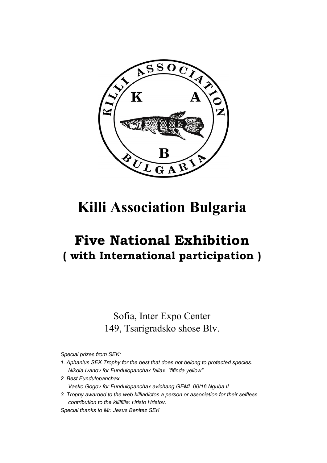

# **Killi Association Bulgaria**

## **Five National Exhibition ( with International participation )**

### Sofia, Inter Expo Center 149, Tsarigradsko shose Blv.

*Special prizes from SEK:* 

- *1. Aphanius SEK Trophy for the best that does not belong to protected species. Nikola Ivanov for Fundulopanchax fallax "fifinda yellow"*
- *2. Best Fundulopanchax Vasko Gogov for Fundulopanchax avichang GEML 00/16 Nguba II*
- *3. Trophy awarded to the web killiadictos a person or association for their selfless contribution to the killifilia: Hristo Hristov.*

*Special thanks to Mr. Jesus Benitez SEK*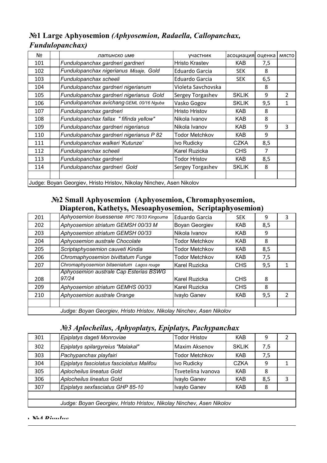#### **№1 Large Aphyosemion** *(Aphyosemion, Radaella, Callopanchax, Fundulopanchax)*

| Nº                                                                   | латинско име                             | участник              | асоциация    | оценка | МЯСТО          |  |
|----------------------------------------------------------------------|------------------------------------------|-----------------------|--------------|--------|----------------|--|
| 101                                                                  | Fundulopanchax gardneri gardneri         | Hristo Krastev        | <b>KAB</b>   | 7,5    |                |  |
| 102                                                                  | Fundulopanchax nigerianus Misaje, Gold   | <b>Eduardo Garcia</b> | <b>SEK</b>   | 8      |                |  |
| 103                                                                  | Fundulopanchax scheeli                   | <b>Eduardo Garcia</b> | <b>SEK</b>   | 6,5    |                |  |
| 104                                                                  | Fundulopanchax gardneri nigerianum       | Violeta Savchovska    |              | 8      |                |  |
| 105                                                                  | Fundulopanchax gardneri nigerianus Gold  | Sergey Torgashev      | <b>SKLIK</b> | 9      | $\overline{2}$ |  |
| 106                                                                  | Fundulopanchax avichang GEML 00/16 Nguba | Vasko Gogov           | <b>SKLIK</b> | 9,5    | 1              |  |
| 107                                                                  | Fundulopanchax gardneri                  | <b>Hristo Hristov</b> | KAB          | 8      |                |  |
| 108                                                                  | Fundulopanchax fallax " fifinda yellow"  | Nikola Ivanov         | <b>KAB</b>   | 8      |                |  |
| 109                                                                  | Fundulopanchax gardneri nigerianus       | Nikola Ivanov         | <b>KAB</b>   | 9      | 3              |  |
| 110                                                                  | Fundulopanchax gardneri nigerianus P 82  | <b>Todor Metchkov</b> | KAB          | 9      |                |  |
| 111                                                                  | Fundulopanchax walkeri 'Kutunze'         | Ivo Rudicky           | <b>CZKA</b>  | 8,5    |                |  |
| 112                                                                  | Fundulopanchax scheeli                   | Karel Ruzicka         | <b>CHS</b>   | 7      |                |  |
| 113                                                                  | Fundulopanchax gardneri                  | Todor Hristov         | KAB.         | 8,5    |                |  |
| 114                                                                  | Fundulopanchax gardneri Gold             | Sergey Torgashev      | <b>SKLIK</b> | 8      |                |  |
|                                                                      |                                          |                       |              |        |                |  |
| Judge: Boyan Georgiev, Hristo Hristov, Nikolay Ninchev, Asen Nikolov |                                          |                       |              |        |                |  |

#### **№2 Small Aphyosemion (Aphyosemion, Chromaphyosemion, Diapteron, Kathetys, Mesoaphyosemion, Scriptaphyosemion)**

| 201 | Aphyosemion louessense RPC 78/33 Kingouma                            | Eduardo Garcia        | <b>SEK</b> | 9   | 3 |  |  |
|-----|----------------------------------------------------------------------|-----------------------|------------|-----|---|--|--|
| 202 | Aphyosemion striatum GEMSH 00/33 M                                   | Boyan Georgiev        | KAB        | 8,5 |   |  |  |
| 203 | Aphyosemion striatum GEMSH 00/33                                     | Nikola Ivanov         | <b>KAB</b> | 9   |   |  |  |
| 204 | Aphyosemion australe Chocolate                                       | <b>Todor Metchkov</b> | KAB        | 8   |   |  |  |
| 205 | Scriptaphyosemion cauveti Kindia                                     | <b>Todor Metchkov</b> | <b>KAB</b> | 8,5 |   |  |  |
| 206 | Chromaphyosemion bivittatum Funge                                    | <b>Todor Metchkov</b> | KAB        | 7,5 |   |  |  |
| 207 | Chromaphyosemion bitaeniatum Lagos rouge                             | <b>Karel Ruzicka</b>  | <b>CHS</b> | 9,5 |   |  |  |
| 208 | Aphyosemion australe Cap Esterias BSWG<br>97/24                      | <b>Karel Ruzicka</b>  | <b>CHS</b> | 8   |   |  |  |
| 209 | Aphyosemion striatum GEMHS 00/33                                     | <b>Karel Ruzicka</b>  | <b>CHS</b> | 8   |   |  |  |
| 210 | Aphyosemion australe Orange                                          | Ivaylo Ganev          | <b>KAB</b> | 9,5 |   |  |  |
|     |                                                                      |                       |            |     |   |  |  |
|     | Judge: Boyan Georgiev, Hristo Hristov, Nikolay Ninchev, Asen Nikolov |                       |            |     |   |  |  |

#### *№3 Aplocheilus, Aphyoplatys, Epiplatys, Pachypanchax*

| 301 | Epiplatys dageti Monroviae                                           | Todor Hristov      | <b>KAB</b>   | 9   |  |  |  |
|-----|----------------------------------------------------------------------|--------------------|--------------|-----|--|--|--|
| 302 | Epiplatys spilargyreius "Malakal"                                    | Maxim Aksenov      | <b>SKLIK</b> | 7,5 |  |  |  |
| 303 | Pachypanchax playfairi                                               | Todor Metchkov     | <b>KAB</b>   | 7,5 |  |  |  |
| 304 | Epiplatys fasciolatus fasciolatus Malifou                            | Ivo Rudicky        | <b>CZKA</b>  | 9   |  |  |  |
| 305 | Aplocheilus lineatus Gold                                            | Tsvetelina Ivanova | <b>KAB</b>   | 8   |  |  |  |
| 306 | Aplocheilus lineatus Gold                                            | Ivaylo Ganev       | <b>KAB</b>   | 8,5 |  |  |  |
| 307 | Epiplatys sexfasciatus GHP 85-10                                     | Ivaylo Ganev       | <b>KAB</b>   | 8   |  |  |  |
|     |                                                                      |                    |              |     |  |  |  |
|     | Judge: Boyan Georgiev, Hristo Hristov, Nikolay Ninchev, Asen Nikolov |                    |              |     |  |  |  |

**Група №4***Rivulus*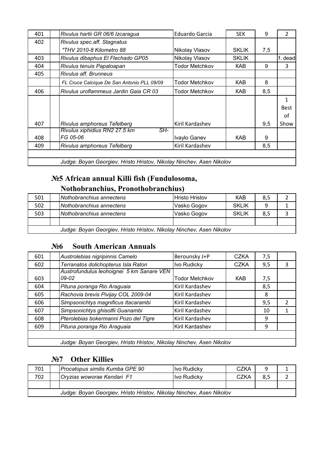| 401 | Rivulus hartii GR 06/6 Izcaragua                                     | <b>Eduardo Garcia</b> | <b>SEK</b>   | 9   | $\overline{2}$ |
|-----|----------------------------------------------------------------------|-----------------------|--------------|-----|----------------|
| 402 | Rivulus spec.aff. Stagnatus                                          |                       |              |     |                |
|     | "THV 2010-8 Kilometro 88                                             | Nikolay Vlasov        | <b>SKLIK</b> | 7,5 |                |
| 403 | Rivulus dibaphus El Flechado GP05                                    | Nikolay Vlasov        | <b>SKLIK</b> |     | f. dead        |
| 404 | Rivulus tenuis Papaloapan                                            | Todor Metchkov        | <b>KAB</b>   | 9   | 3              |
| 405 | Rivulus aff. Brunneus                                                |                       |              |     |                |
|     | FL Cruce Calcique De San Antonio PLL 09/09                           | Todor Metchkov        | <b>KAB</b>   | 8   |                |
| 406 | Rivulus uroflammeus Jardin Gaia CR 03                                | Todor Metchkov        | KAB          | 8,5 |                |
|     |                                                                      |                       |              |     | 1              |
|     |                                                                      |                       |              |     | <b>Best</b>    |
|     |                                                                      |                       |              |     | οf             |
| 407 | Rivulus amphoreus Tefelberg                                          | Kiril Kardashev       |              | 9,5 | Show           |
|     | Rivulus xiphidius RN2 27.5 km<br>SH-                                 |                       |              |     |                |
| 408 | FG 05-06                                                             | Ivaylo Ganev          | <b>KAB</b>   | 9   |                |
| 409 | Rivulus amphoreus Tefelberg                                          | Kiril Kardashev       |              | 8,5 |                |
|     |                                                                      |                       |              |     |                |
|     | Judge: Boyan Georgiev, Hristo Hristov, Nikolay Ninchev, Asen Nikolov |                       |              |     |                |

## **№5 African annual Killi fish (Fundulosoma,**

#### **Nothobranchius, Pronothobranchius)**

| 501                                                                  |  | Nothobranchius annectens | <b>Hristo Hristov</b> | KAB          | 8,5 |  |
|----------------------------------------------------------------------|--|--------------------------|-----------------------|--------------|-----|--|
| 502                                                                  |  | Nothobranchius annectens | Vasko Gogov           | <b>SKLIK</b> | q   |  |
| 503                                                                  |  | Nothobranchius annectens | Vasko Gogov           | <b>SKLIK</b> | 8,5 |  |
|                                                                      |  |                          |                       |              |     |  |
| Judge: Boyan Georgiev, Hristo Hristov, Nikolay Ninchev, Asen Nikolov |  |                          |                       |              |     |  |

#### **№6 South American Annuals**

| 601 | Austrolebias nigripinnis Camelo                                      | Berounsky J+P   | <b>CZKA</b> | 7,5 |               |  |
|-----|----------------------------------------------------------------------|-----------------|-------------|-----|---------------|--|
| 602 | Terranatos dolichopterus Isla Raton                                  | Ivo Rudicky     | <b>CZKA</b> | 9,5 | 3             |  |
| 603 | Austrofundulus leohoignei 5 km Sanare VEN<br>09-02                   | Todor Metchkov  | <b>KAB</b>  | 7,5 |               |  |
| 604 | Pituna poranga Rio Araguaia                                          | Kiril Kardashev |             | 8,5 |               |  |
| 605 | Rachovia brevis Pivijay COL 2009-04                                  | Kiril Kardashev |             | 8   |               |  |
| 606 | Simpsonichtys magnificus Itacarambi                                  | Kiril Kardashev |             | 9,5 | $\mathcal{P}$ |  |
| 607 | Simpsonichtys ghisolfii Guanambi                                     | Kiril Kardashev |             | 10  |               |  |
| 608 | Pterolebias bokermanni Pozo del Tigre                                | Kiril Kardashev |             | 9   |               |  |
| 609 | Pituna poranga Rio Araguaia                                          | Kiril Kardashev |             | 9   |               |  |
|     |                                                                      |                 |             |     |               |  |
|     | Judge: Boyan Georgiev, Hristo Hristov, Nikolay Ninchev, Asen Nikolov |                 |             |     |               |  |

#### **№7 Other Killies**

| 701                                                                  |  | Procatopus similis Kumba GPE 90 | Ivo Rudicky  | CZKA |     |  |  |
|----------------------------------------------------------------------|--|---------------------------------|--------------|------|-----|--|--|
| 702                                                                  |  | Oryzias woworae Kendari F1      | Ilvo Rudickv | CZKA | 8,5 |  |  |
|                                                                      |  |                                 |              |      |     |  |  |
| Judge: Boyan Georgiev, Hristo Hristov, Nikolay Ninchev, Asen Nikolov |  |                                 |              |      |     |  |  |